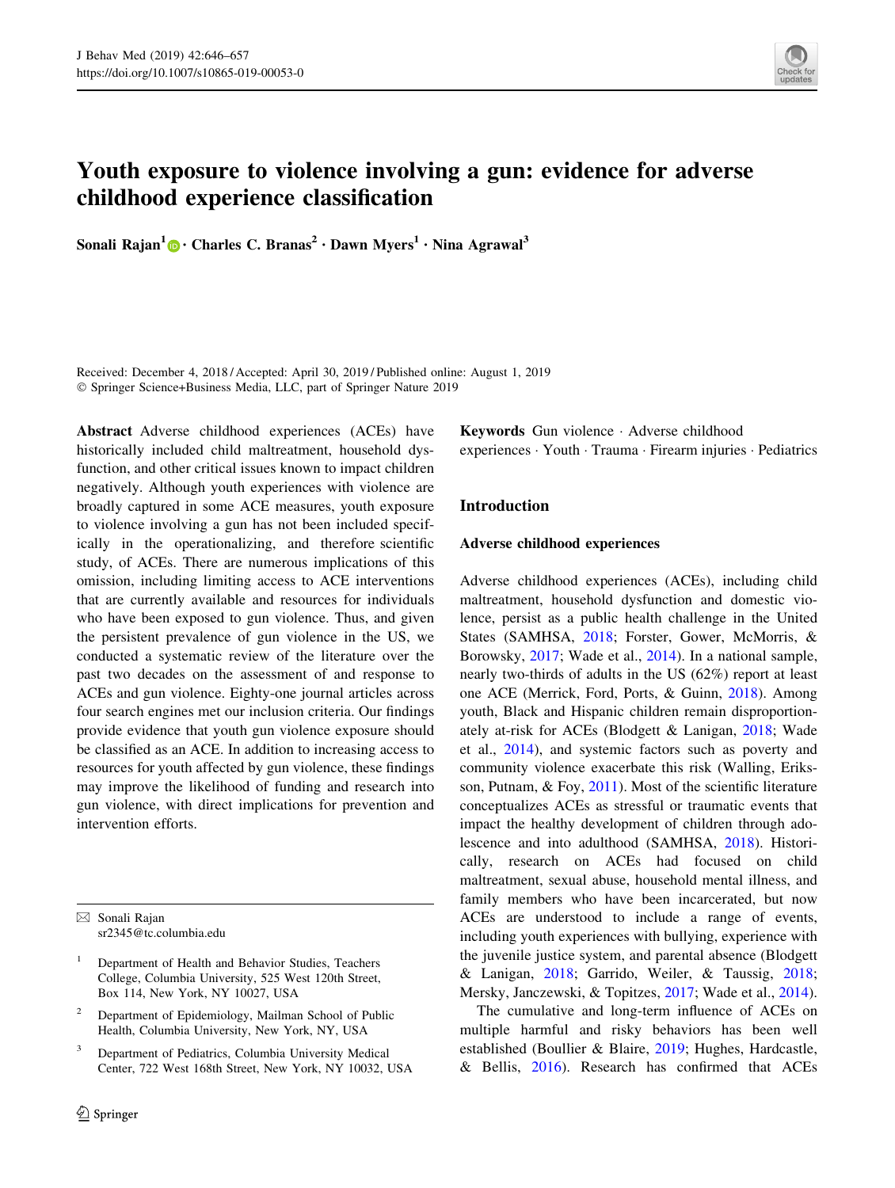

# Youth exposure to violence involving a gun: evidence for adverse childhood experience classification

Sonali Rajan<sup>1</sup> [•](http://orcid.org/0000-0002-2530-4364) Charles C. Branas<sup>2</sup> • Dawn Myers<sup>1</sup> • Nina Agrawal<sup>3</sup>

Received: December 4, 2018 / Accepted: April 30, 2019 / Published online: August 1, 2019 - Springer Science+Business Media, LLC, part of Springer Nature 2019

Abstract Adverse childhood experiences (ACEs) have historically included child maltreatment, household dysfunction, and other critical issues known to impact children negatively. Although youth experiences with violence are broadly captured in some ACE measures, youth exposure to violence involving a gun has not been included specifically in the operationalizing, and therefore scientific study, of ACEs. There are numerous implications of this omission, including limiting access to ACE interventions that are currently available and resources for individuals who have been exposed to gun violence. Thus, and given the persistent prevalence of gun violence in the US, we conducted a systematic review of the literature over the past two decades on the assessment of and response to ACEs and gun violence. Eighty-one journal articles across four search engines met our inclusion criteria. Our findings provide evidence that youth gun violence exposure should be classified as an ACE. In addition to increasing access to resources for youth affected by gun violence, these findings may improve the likelihood of funding and research into gun violence, with direct implications for prevention and intervention efforts.

 $\boxtimes$  Sonali Rajan sr2345@tc.columbia.edu

- <sup>1</sup> Department of Health and Behavior Studies, Teachers College, Columbia University, 525 West 120th Street, Box 114, New York, NY 10027, USA
- Department of Epidemiology, Mailman School of Public Health, Columbia University, New York, NY, USA
- Department of Pediatrics, Columbia University Medical Center, 722 West 168th Street, New York, NY 10032, USA

Keywords Gun violence - Adverse childhood experiences - Youth - Trauma - Firearm injuries - Pediatrics

# Introduction

#### Adverse childhood experiences

Adverse childhood experiences (ACEs), including child maltreatment, household dysfunction and domestic violence, persist as a public health challenge in the United States (SAMHSA, [2018](#page-11-0); Forster, Gower, McMorris, & Borowsky, [2017;](#page-9-0) Wade et al., [2014](#page-11-0)). In a national sample, nearly two-thirds of adults in the US (62%) report at least one ACE (Merrick, Ford, Ports, & Guinn, [2018\)](#page-10-0). Among youth, Black and Hispanic children remain disproportionately at-risk for ACEs (Blodgett & Lanigan, [2018](#page-9-0); Wade et al., [2014\)](#page-11-0), and systemic factors such as poverty and community violence exacerbate this risk (Walling, Eriksson, Putnam, & Foy, [2011\)](#page-11-0). Most of the scientific literature conceptualizes ACEs as stressful or traumatic events that impact the healthy development of children through adolescence and into adulthood (SAMHSA, [2018](#page-11-0)). Historically, research on ACEs had focused on child maltreatment, sexual abuse, household mental illness, and family members who have been incarcerated, but now ACEs are understood to include a range of events, including youth experiences with bullying, experience with the juvenile justice system, and parental absence (Blodgett & Lanigan, [2018;](#page-9-0) Garrido, Weiler, & Taussig, [2018](#page-10-0); Mersky, Janczewski, & Topitzes, [2017](#page-10-0); Wade et al., [2014](#page-11-0)).

The cumulative and long-term influence of ACEs on multiple harmful and risky behaviors has been well established (Boullier & Blaire, [2019;](#page-9-0) Hughes, Hardcastle, & Bellis, [2016\)](#page-10-0). Research has confirmed that ACEs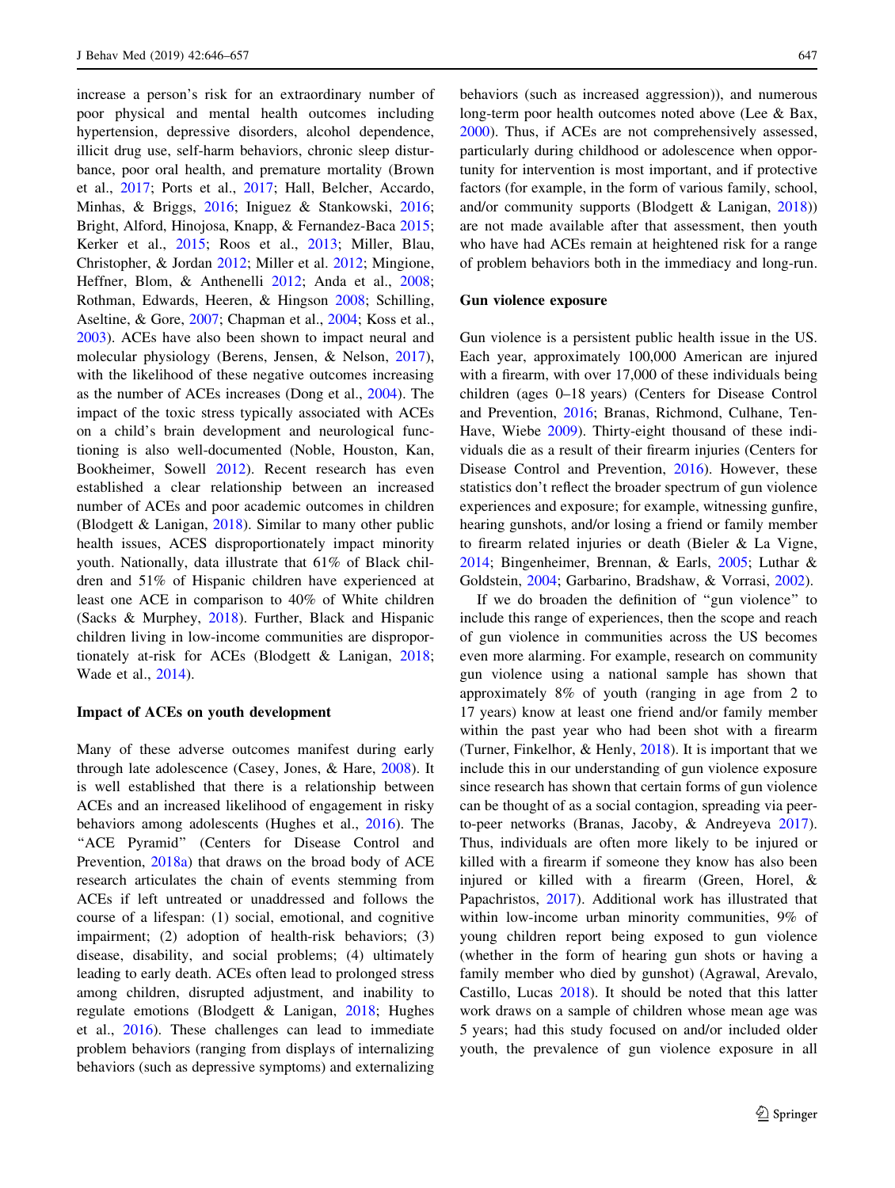increase a person's risk for an extraordinary number of poor physical and mental health outcomes including hypertension, depressive disorders, alcohol dependence, illicit drug use, self-harm behaviors, chronic sleep disturbance, poor oral health, and premature mortality (Brown et al., [2017](#page-9-0); Ports et al., [2017](#page-10-0); Hall, Belcher, Accardo, Minhas, & Briggs, [2016;](#page-10-0) Iniguez & Stankowski, [2016](#page-10-0); Bright, Alford, Hinojosa, Knapp, & Fernandez-Baca [2015](#page-9-0); Kerker et al., [2015](#page-10-0); Roos et al., [2013;](#page-11-0) Miller, Blau, Christopher, & Jordan [2012](#page-10-0); Miller et al. [2012;](#page-10-0) Mingione, Heffner, Blom, & Anthenelli [2012;](#page-10-0) Anda et al., [2008](#page-8-0); Rothman, Edwards, Heeren, & Hingson [2008](#page-11-0); Schilling, Aseltine, & Gore, [2007;](#page-11-0) Chapman et al., [2004](#page-9-0); Koss et al., [2003\)](#page-10-0). ACEs have also been shown to impact neural and molecular physiology (Berens, Jensen, & Nelson, [2017](#page-8-0)), with the likelihood of these negative outcomes increasing as the number of ACEs increases (Dong et al., [2004\)](#page-9-0). The impact of the toxic stress typically associated with ACEs on a child's brain development and neurological functioning is also well-documented (Noble, Houston, Kan, Bookheimer, Sowell [2012\)](#page-10-0). Recent research has even established a clear relationship between an increased number of ACEs and poor academic outcomes in children (Blodgett & Lanigan, [2018\)](#page-9-0). Similar to many other public health issues, ACES disproportionately impact minority youth. Nationally, data illustrate that 61% of Black children and 51% of Hispanic children have experienced at least one ACE in comparison to 40% of White children (Sacks & Murphey, [2018\)](#page-11-0). Further, Black and Hispanic children living in low-income communities are disproportionately at-risk for ACEs (Blodgett & Lanigan, [2018](#page-9-0); Wade et al., [2014\)](#page-11-0).

## Impact of ACEs on youth development

Many of these adverse outcomes manifest during early through late adolescence (Casey, Jones, & Hare, [2008\)](#page-9-0). It is well established that there is a relationship between ACEs and an increased likelihood of engagement in risky behaviors among adolescents (Hughes et al., [2016](#page-10-0)). The "ACE Pyramid" (Centers for Disease Control and Prevention, [2018a\)](#page-9-0) that draws on the broad body of ACE research articulates the chain of events stemming from ACEs if left untreated or unaddressed and follows the course of a lifespan: (1) social, emotional, and cognitive impairment; (2) adoption of health-risk behaviors; (3) disease, disability, and social problems; (4) ultimately leading to early death. ACEs often lead to prolonged stress among children, disrupted adjustment, and inability to regulate emotions (Blodgett & Lanigan, [2018](#page-9-0); Hughes et al., [2016\)](#page-10-0). These challenges can lead to immediate problem behaviors (ranging from displays of internalizing behaviors (such as depressive symptoms) and externalizing behaviors (such as increased aggression)), and numerous long-term poor health outcomes noted above (Lee & Bax, [2000](#page-10-0)). Thus, if ACEs are not comprehensively assessed, particularly during childhood or adolescence when opportunity for intervention is most important, and if protective factors (for example, in the form of various family, school, and/or community supports (Blodgett & Lanigan, [2018\)](#page-9-0)) are not made available after that assessment, then youth who have had ACEs remain at heightened risk for a range of problem behaviors both in the immediacy and long-run.

#### Gun violence exposure

Gun violence is a persistent public health issue in the US. Each year, approximately 100,000 American are injured with a firearm, with over 17,000 of these individuals being children (ages 0–18 years) (Centers for Disease Control and Prevention, [2016](#page-9-0); Branas, Richmond, Culhane, Ten-Have, Wiebe [2009\)](#page-9-0). Thirty-eight thousand of these individuals die as a result of their firearm injuries (Centers for Disease Control and Prevention, [2016\)](#page-9-0). However, these statistics don't reflect the broader spectrum of gun violence experiences and exposure; for example, witnessing gunfire, hearing gunshots, and/or losing a friend or family member to firearm related injuries or death (Bieler & La Vigne, [2014](#page-9-0); Bingenheimer, Brennan, & Earls, [2005;](#page-9-0) Luthar & Goldstein, [2004;](#page-10-0) Garbarino, Bradshaw, & Vorrasi, [2002\)](#page-10-0).

If we do broaden the definition of ''gun violence'' to include this range of experiences, then the scope and reach of gun violence in communities across the US becomes even more alarming. For example, research on community gun violence using a national sample has shown that approximately 8% of youth (ranging in age from 2 to 17 years) know at least one friend and/or family member within the past year who had been shot with a firearm (Turner, Finkelhor, & Henly, [2018](#page-11-0)). It is important that we include this in our understanding of gun violence exposure since research has shown that certain forms of gun violence can be thought of as a social contagion, spreading via peerto-peer networks (Branas, Jacoby, & Andreyeva [2017](#page-9-0)). Thus, individuals are often more likely to be injured or killed with a firearm if someone they know has also been injured or killed with a firearm (Green, Horel, & Papachristos, [2017\)](#page-10-0). Additional work has illustrated that within low-income urban minority communities, 9% of young children report being exposed to gun violence (whether in the form of hearing gun shots or having a family member who died by gunshot) (Agrawal, Arevalo, Castillo, Lucas [2018\)](#page-8-0). It should be noted that this latter work draws on a sample of children whose mean age was 5 years; had this study focused on and/or included older youth, the prevalence of gun violence exposure in all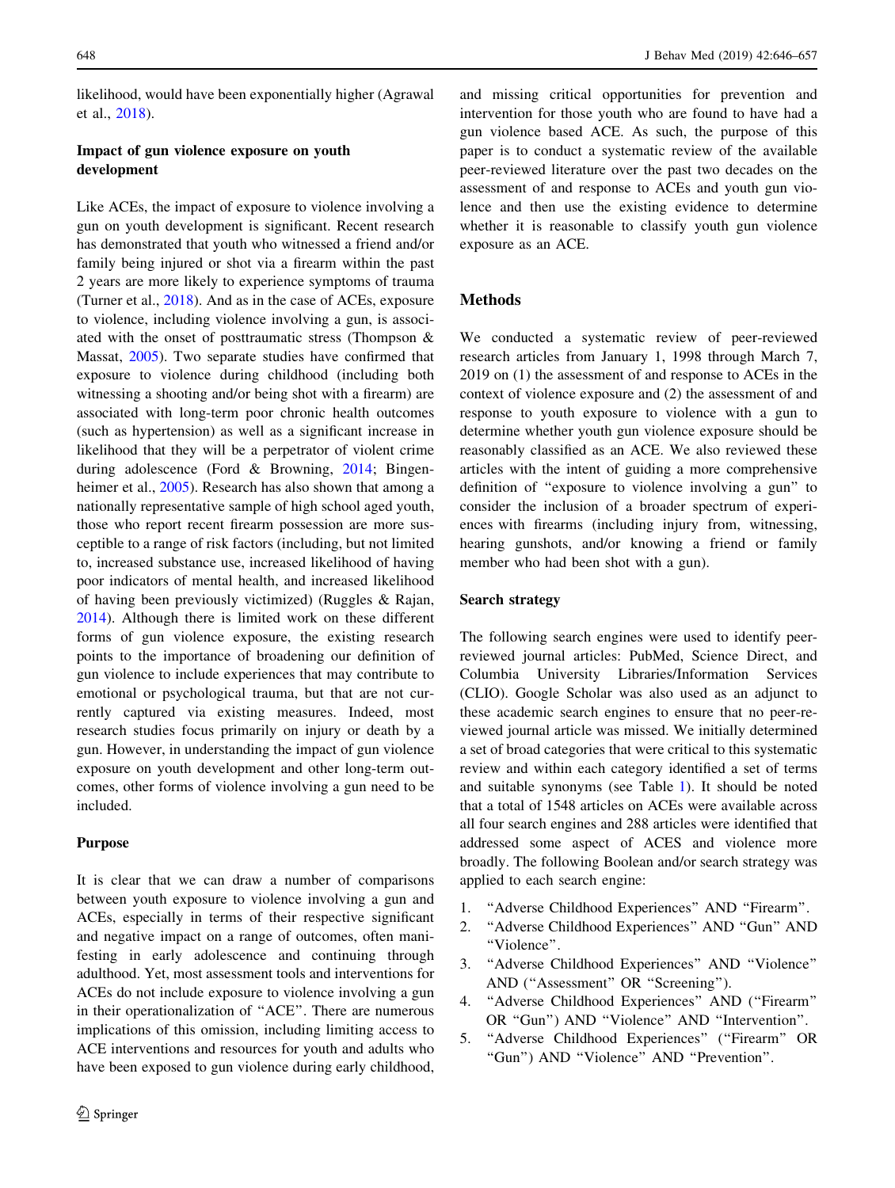likelihood, would have been exponentially higher (Agrawal et al., [2018](#page-8-0)).

# Impact of gun violence exposure on youth development

Like ACEs, the impact of exposure to violence involving a gun on youth development is significant. Recent research has demonstrated that youth who witnessed a friend and/or family being injured or shot via a firearm within the past 2 years are more likely to experience symptoms of trauma (Turner et al., [2018\)](#page-11-0). And as in the case of ACEs, exposure to violence, including violence involving a gun, is associated with the onset of posttraumatic stress (Thompson & Massat, [2005\)](#page-11-0). Two separate studies have confirmed that exposure to violence during childhood (including both witnessing a shooting and/or being shot with a firearm) are associated with long-term poor chronic health outcomes (such as hypertension) as well as a significant increase in likelihood that they will be a perpetrator of violent crime during adolescence (Ford & Browning, [2014](#page-9-0); Bingen-heimer et al., [2005](#page-9-0)). Research has also shown that among a nationally representative sample of high school aged youth, those who report recent firearm possession are more susceptible to a range of risk factors (including, but not limited to, increased substance use, increased likelihood of having poor indicators of mental health, and increased likelihood of having been previously victimized) (Ruggles & Rajan, [2014\)](#page-11-0). Although there is limited work on these different forms of gun violence exposure, the existing research points to the importance of broadening our definition of gun violence to include experiences that may contribute to emotional or psychological trauma, but that are not currently captured via existing measures. Indeed, most research studies focus primarily on injury or death by a gun. However, in understanding the impact of gun violence exposure on youth development and other long-term outcomes, other forms of violence involving a gun need to be included.

## Purpose

It is clear that we can draw a number of comparisons between youth exposure to violence involving a gun and ACEs, especially in terms of their respective significant and negative impact on a range of outcomes, often manifesting in early adolescence and continuing through adulthood. Yet, most assessment tools and interventions for ACEs do not include exposure to violence involving a gun in their operationalization of ''ACE''. There are numerous implications of this omission, including limiting access to ACE interventions and resources for youth and adults who have been exposed to gun violence during early childhood,

and missing critical opportunities for prevention and intervention for those youth who are found to have had a gun violence based ACE. As such, the purpose of this paper is to conduct a systematic review of the available peer-reviewed literature over the past two decades on the assessment of and response to ACEs and youth gun violence and then use the existing evidence to determine whether it is reasonable to classify youth gun violence exposure as an ACE.

# Methods

We conducted a systematic review of peer-reviewed research articles from January 1, 1998 through March 7, 2019 on (1) the assessment of and response to ACEs in the context of violence exposure and (2) the assessment of and response to youth exposure to violence with a gun to determine whether youth gun violence exposure should be reasonably classified as an ACE. We also reviewed these articles with the intent of guiding a more comprehensive definition of ''exposure to violence involving a gun'' to consider the inclusion of a broader spectrum of experiences with firearms (including injury from, witnessing, hearing gunshots, and/or knowing a friend or family member who had been shot with a gun).

# Search strategy

The following search engines were used to identify peerreviewed journal articles: PubMed, Science Direct, and Columbia University Libraries/Information Services (CLIO). Google Scholar was also used as an adjunct to these academic search engines to ensure that no peer-reviewed journal article was missed. We initially determined a set of broad categories that were critical to this systematic review and within each category identified a set of terms and suitable synonyms (see Table [1\)](#page-3-0). It should be noted that a total of 1548 articles on ACEs were available across all four search engines and 288 articles were identified that addressed some aspect of ACES and violence more broadly. The following Boolean and/or search strategy was applied to each search engine:

- 1. ''Adverse Childhood Experiences'' AND ''Firearm''.
- 2. ''Adverse Childhood Experiences'' AND ''Gun'' AND ''Violence''.
- 3. ''Adverse Childhood Experiences'' AND ''Violence'' AND (''Assessment'' OR ''Screening'').
- 4. ''Adverse Childhood Experiences'' AND (''Firearm'' OR ''Gun'') AND ''Violence'' AND ''Intervention''.
- 5. ''Adverse Childhood Experiences'' (''Firearm'' OR ''Gun'') AND ''Violence'' AND ''Prevention''.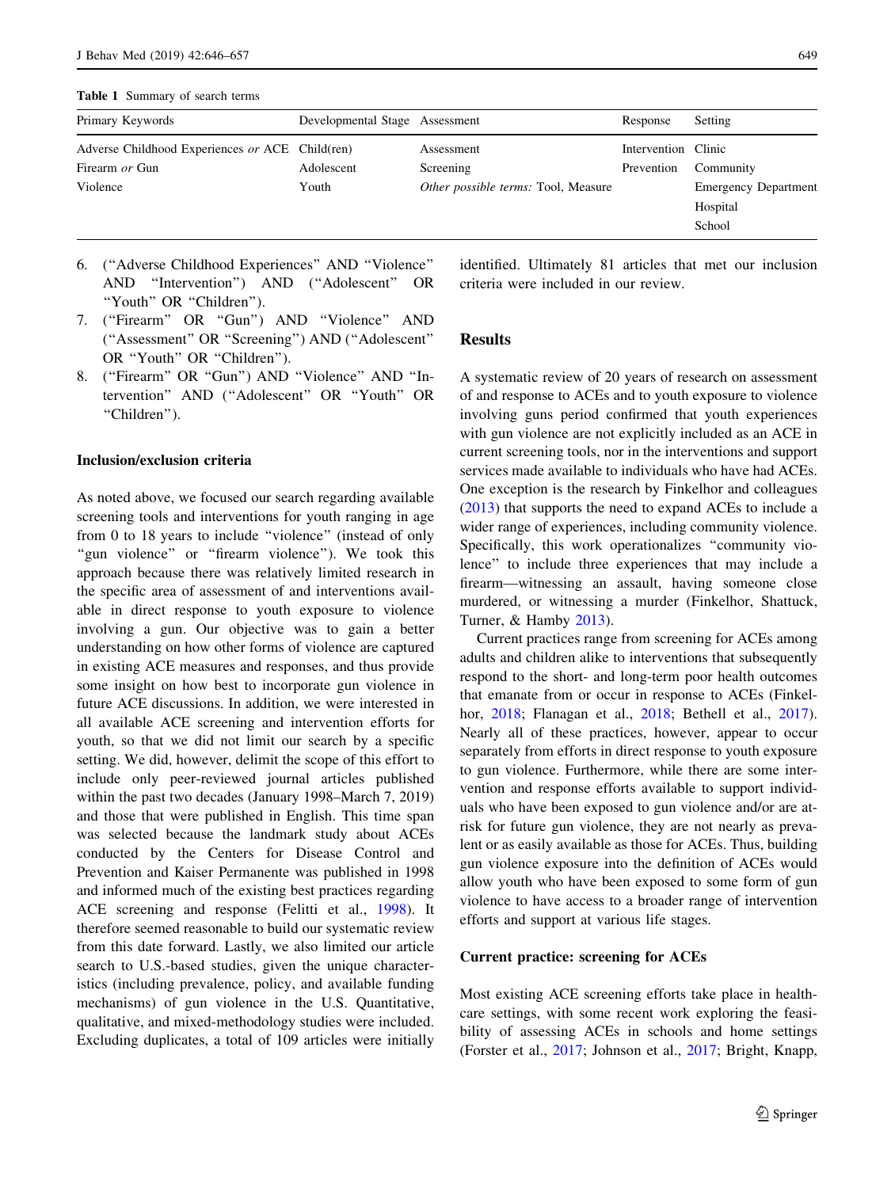<span id="page-3-0"></span>Table 1 Summary of search terms

| Primary Keywords                                | Developmental Stage Assessment |                                     | Response            | Setting                     |
|-------------------------------------------------|--------------------------------|-------------------------------------|---------------------|-----------------------------|
| Adverse Childhood Experiences or ACE Child(ren) |                                | Assessment                          | Intervention Clinic |                             |
| Firearm or Gun                                  | Adolescent                     | Screening                           | Prevention          | Community                   |
| Violence                                        | Youth                          | Other possible terms: Tool, Measure |                     | <b>Emergency Department</b> |
|                                                 |                                |                                     |                     | Hospital                    |
|                                                 |                                |                                     |                     | School                      |

- 6. (''Adverse Childhood Experiences'' AND ''Violence'' AND ''Intervention'') AND (''Adolescent'' OR "Youth" OR "Children").
- 7. ("Firearm" OR "Gun") AND "Violence" AND (''Assessment'' OR ''Screening'') AND (''Adolescent'' OR "Youth" OR "Children").
- 8. ("Firearm" OR "Gun") AND "Violence" AND "Intervention'' AND (''Adolescent'' OR ''Youth'' OR "Children").

#### Inclusion/exclusion criteria

As noted above, we focused our search regarding available screening tools and interventions for youth ranging in age from 0 to 18 years to include "violence" (instead of only "gun violence" or "firearm violence"). We took this approach because there was relatively limited research in the specific area of assessment of and interventions available in direct response to youth exposure to violence involving a gun. Our objective was to gain a better understanding on how other forms of violence are captured in existing ACE measures and responses, and thus provide some insight on how best to incorporate gun violence in future ACE discussions. In addition, we were interested in all available ACE screening and intervention efforts for youth, so that we did not limit our search by a specific setting. We did, however, delimit the scope of this effort to include only peer-reviewed journal articles published within the past two decades (January 1998–March 7, 2019) and those that were published in English. This time span was selected because the landmark study about ACEs conducted by the Centers for Disease Control and Prevention and Kaiser Permanente was published in 1998 and informed much of the existing best practices regarding ACE screening and response (Felitti et al., [1998\)](#page-9-0). It therefore seemed reasonable to build our systematic review from this date forward. Lastly, we also limited our article search to U.S.-based studies, given the unique characteristics (including prevalence, policy, and available funding mechanisms) of gun violence in the U.S. Quantitative, qualitative, and mixed-methodology studies were included. Excluding duplicates, a total of 109 articles were initially

identified. Ultimately 81 articles that met our inclusion criteria were included in our review.

#### **Results**

A systematic review of 20 years of research on assessment of and response to ACEs and to youth exposure to violence involving guns period confirmed that youth experiences with gun violence are not explicitly included as an ACE in current screening tools, nor in the interventions and support services made available to individuals who have had ACEs. One exception is the research by Finkelhor and colleagues [\(2013](#page-9-0)) that supports the need to expand ACEs to include a wider range of experiences, including community violence. Specifically, this work operationalizes ''community violence'' to include three experiences that may include a firearm—witnessing an assault, having someone close murdered, or witnessing a murder (Finkelhor, Shattuck, Turner, & Hamby [2013](#page-9-0)).

Current practices range from screening for ACEs among adults and children alike to interventions that subsequently respond to the short- and long-term poor health outcomes that emanate from or occur in response to ACEs (Finkelhor, [2018](#page-9-0); Flanagan et al., [2018;](#page-9-0) Bethell et al., [2017](#page-8-0)). Nearly all of these practices, however, appear to occur separately from efforts in direct response to youth exposure to gun violence. Furthermore, while there are some intervention and response efforts available to support individuals who have been exposed to gun violence and/or are atrisk for future gun violence, they are not nearly as prevalent or as easily available as those for ACEs. Thus, building gun violence exposure into the definition of ACEs would allow youth who have been exposed to some form of gun violence to have access to a broader range of intervention efforts and support at various life stages.

#### Current practice: screening for ACEs

Most existing ACE screening efforts take place in healthcare settings, with some recent work exploring the feasibility of assessing ACEs in schools and home settings (Forster et al., [2017;](#page-9-0) Johnson et al., [2017](#page-10-0); Bright, Knapp,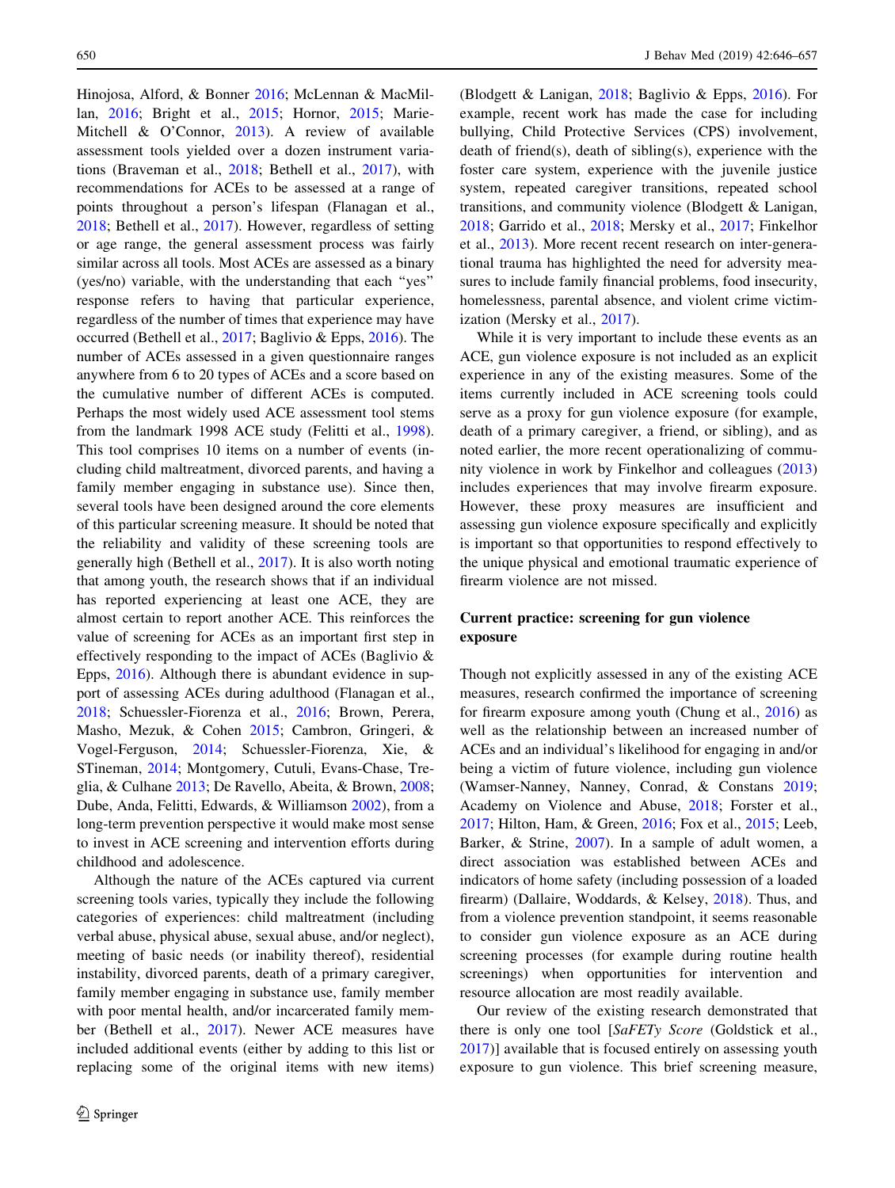Hinojosa, Alford, & Bonner [2016](#page-9-0); McLennan & MacMillan, [2016](#page-10-0); Bright et al., [2015;](#page-9-0) Hornor, [2015;](#page-10-0) Marie-Mitchell & O'Connor, [2013\)](#page-10-0). A review of available assessment tools yielded over a dozen instrument variations (Braveman et al., [2018](#page-9-0); Bethell et al., [2017](#page-8-0)), with recommendations for ACEs to be assessed at a range of points throughout a person's lifespan (Flanagan et al., [2018;](#page-9-0) Bethell et al., [2017](#page-8-0)). However, regardless of setting or age range, the general assessment process was fairly similar across all tools. Most ACEs are assessed as a binary (yes/no) variable, with the understanding that each ''yes'' response refers to having that particular experience, regardless of the number of times that experience may have occurred (Bethell et al., [2017;](#page-8-0) Baglivio & Epps, [2016](#page-8-0)). The number of ACEs assessed in a given questionnaire ranges anywhere from 6 to 20 types of ACEs and a score based on the cumulative number of different ACEs is computed. Perhaps the most widely used ACE assessment tool stems from the landmark 1998 ACE study (Felitti et al., [1998](#page-9-0)). This tool comprises 10 items on a number of events (including child maltreatment, divorced parents, and having a family member engaging in substance use). Since then, several tools have been designed around the core elements of this particular screening measure. It should be noted that the reliability and validity of these screening tools are generally high (Bethell et al., [2017\)](#page-8-0). It is also worth noting that among youth, the research shows that if an individual has reported experiencing at least one ACE, they are almost certain to report another ACE. This reinforces the value of screening for ACEs as an important first step in effectively responding to the impact of ACEs (Baglivio & Epps, [2016\)](#page-8-0). Although there is abundant evidence in support of assessing ACEs during adulthood (Flanagan et al., [2018;](#page-9-0) Schuessler-Fiorenza et al., [2016](#page-11-0); Brown, Perera, Masho, Mezuk, & Cohen [2015](#page-9-0); Cambron, Gringeri, & Vogel-Ferguson, [2014](#page-9-0); Schuessler-Fiorenza, Xie, & STineman, [2014](#page-11-0); Montgomery, Cutuli, Evans-Chase, Treglia, & Culhane [2013](#page-10-0); De Ravello, Abeita, & Brown, [2008](#page-9-0); Dube, Anda, Felitti, Edwards, & Williamson [2002\)](#page-9-0), from a long-term prevention perspective it would make most sense to invest in ACE screening and intervention efforts during childhood and adolescence.

Although the nature of the ACEs captured via current screening tools varies, typically they include the following categories of experiences: child maltreatment (including verbal abuse, physical abuse, sexual abuse, and/or neglect), meeting of basic needs (or inability thereof), residential instability, divorced parents, death of a primary caregiver, family member engaging in substance use, family member with poor mental health, and/or incarcerated family member (Bethell et al., [2017](#page-8-0)). Newer ACE measures have included additional events (either by adding to this list or replacing some of the original items with new items) (Blodgett & Lanigan, [2018](#page-9-0); Baglivio & Epps, [2016\)](#page-8-0). For example, recent work has made the case for including bullying, Child Protective Services (CPS) involvement, death of friend(s), death of sibling(s), experience with the foster care system, experience with the juvenile justice system, repeated caregiver transitions, repeated school transitions, and community violence (Blodgett & Lanigan, [2018](#page-9-0); Garrido et al., [2018;](#page-10-0) Mersky et al., [2017](#page-10-0); Finkelhor et al., [2013](#page-9-0)). More recent recent research on inter-generational trauma has highlighted the need for adversity measures to include family financial problems, food insecurity, homelessness, parental absence, and violent crime victimization (Mersky et al., [2017](#page-10-0)).

While it is very important to include these events as an ACE, gun violence exposure is not included as an explicit experience in any of the existing measures. Some of the items currently included in ACE screening tools could serve as a proxy for gun violence exposure (for example, death of a primary caregiver, a friend, or sibling), and as noted earlier, the more recent operationalizing of community violence in work by Finkelhor and colleagues ([2013\)](#page-9-0) includes experiences that may involve firearm exposure. However, these proxy measures are insufficient and assessing gun violence exposure specifically and explicitly is important so that opportunities to respond effectively to the unique physical and emotional traumatic experience of firearm violence are not missed.

# Current practice: screening for gun violence exposure

Though not explicitly assessed in any of the existing ACE measures, research confirmed the importance of screening for firearm exposure among youth (Chung et al., [2016](#page-9-0)) as well as the relationship between an increased number of ACEs and an individual's likelihood for engaging in and/or being a victim of future violence, including gun violence (Wamser-Nanney, Nanney, Conrad, & Constans [2019](#page-11-0); Academy on Violence and Abuse, [2018](#page-8-0); Forster et al., [2017](#page-9-0); Hilton, Ham, & Green, [2016](#page-10-0); Fox et al., [2015](#page-10-0); Leeb, Barker, & Strine, [2007\)](#page-10-0). In a sample of adult women, a direct association was established between ACEs and indicators of home safety (including possession of a loaded firearm) (Dallaire, Woddards, & Kelsey, [2018\)](#page-9-0). Thus, and from a violence prevention standpoint, it seems reasonable to consider gun violence exposure as an ACE during screening processes (for example during routine health screenings) when opportunities for intervention and resource allocation are most readily available.

Our review of the existing research demonstrated that there is only one tool [SaFETy Score (Goldstick et al., [2017](#page-10-0))] available that is focused entirely on assessing youth exposure to gun violence. This brief screening measure,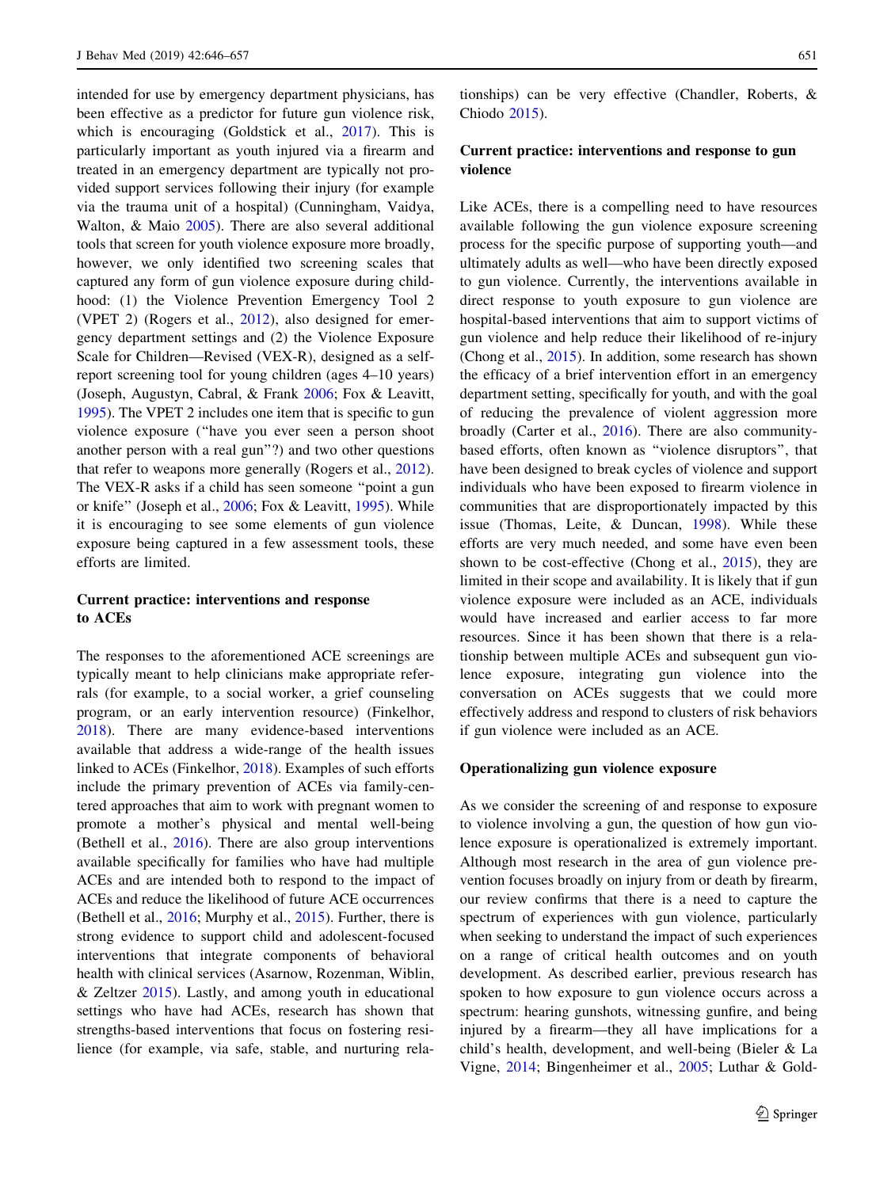intended for use by emergency department physicians, has been effective as a predictor for future gun violence risk, which is encouraging (Goldstick et al., [2017](#page-10-0)). This is particularly important as youth injured via a firearm and treated in an emergency department are typically not provided support services following their injury (for example via the trauma unit of a hospital) (Cunningham, Vaidya, Walton, & Maio [2005\)](#page-9-0). There are also several additional tools that screen for youth violence exposure more broadly, however, we only identified two screening scales that captured any form of gun violence exposure during childhood: (1) the Violence Prevention Emergency Tool 2 (VPET 2) (Rogers et al., [2012\)](#page-11-0), also designed for emergency department settings and (2) the Violence Exposure Scale for Children—Revised (VEX-R), designed as a selfreport screening tool for young children (ages 4–10 years) (Joseph, Augustyn, Cabral, & Frank [2006](#page-10-0); Fox & Leavitt, [1995\)](#page-9-0). The VPET 2 includes one item that is specific to gun violence exposure (''have you ever seen a person shoot another person with a real gun''?) and two other questions that refer to weapons more generally (Rogers et al., [2012](#page-11-0)). The VEX-R asks if a child has seen someone ''point a gun or knife'' (Joseph et al., [2006;](#page-10-0) Fox & Leavitt, [1995](#page-9-0)). While it is encouraging to see some elements of gun violence exposure being captured in a few assessment tools, these efforts are limited.

# Current practice: interventions and response to ACEs

The responses to the aforementioned ACE screenings are typically meant to help clinicians make appropriate referrals (for example, to a social worker, a grief counseling program, or an early intervention resource) (Finkelhor, [2018\)](#page-9-0). There are many evidence-based interventions available that address a wide-range of the health issues linked to ACEs (Finkelhor, [2018\)](#page-9-0). Examples of such efforts include the primary prevention of ACEs via family-centered approaches that aim to work with pregnant women to promote a mother's physical and mental well-being (Bethell et al., [2016](#page-9-0)). There are also group interventions available specifically for families who have had multiple ACEs and are intended both to respond to the impact of ACEs and reduce the likelihood of future ACE occurrences (Bethell et al., [2016](#page-9-0); Murphy et al., [2015](#page-10-0)). Further, there is strong evidence to support child and adolescent-focused interventions that integrate components of behavioral health with clinical services (Asarnow, Rozenman, Wiblin,  $&$  Zeltzer [2015\)](#page-8-0). Lastly, and among youth in educational settings who have had ACEs, research has shown that strengths-based interventions that focus on fostering resilience (for example, via safe, stable, and nurturing relationships) can be very effective (Chandler, Roberts, & Chiodo [2015\)](#page-9-0).

# Current practice: interventions and response to gun violence

Like ACEs, there is a compelling need to have resources available following the gun violence exposure screening process for the specific purpose of supporting youth—and ultimately adults as well—who have been directly exposed to gun violence. Currently, the interventions available in direct response to youth exposure to gun violence are hospital-based interventions that aim to support victims of gun violence and help reduce their likelihood of re-injury (Chong et al., [2015](#page-9-0)). In addition, some research has shown the efficacy of a brief intervention effort in an emergency department setting, specifically for youth, and with the goal of reducing the prevalence of violent aggression more broadly (Carter et al., [2016](#page-9-0)). There are also communitybased efforts, often known as ''violence disruptors'', that have been designed to break cycles of violence and support individuals who have been exposed to firearm violence in communities that are disproportionately impacted by this issue (Thomas, Leite, & Duncan, [1998\)](#page-11-0). While these efforts are very much needed, and some have even been shown to be cost-effective (Chong et al., [2015\)](#page-9-0), they are limited in their scope and availability. It is likely that if gun violence exposure were included as an ACE, individuals would have increased and earlier access to far more resources. Since it has been shown that there is a relationship between multiple ACEs and subsequent gun violence exposure, integrating gun violence into the conversation on ACEs suggests that we could more effectively address and respond to clusters of risk behaviors if gun violence were included as an ACE.

## Operationalizing gun violence exposure

As we consider the screening of and response to exposure to violence involving a gun, the question of how gun violence exposure is operationalized is extremely important. Although most research in the area of gun violence prevention focuses broadly on injury from or death by firearm, our review confirms that there is a need to capture the spectrum of experiences with gun violence, particularly when seeking to understand the impact of such experiences on a range of critical health outcomes and on youth development. As described earlier, previous research has spoken to how exposure to gun violence occurs across a spectrum: hearing gunshots, witnessing gunfire, and being injured by a firearm—they all have implications for a child's health, development, and well-being (Bieler & La Vigne, [2014;](#page-9-0) Bingenheimer et al., [2005;](#page-9-0) Luthar & Gold-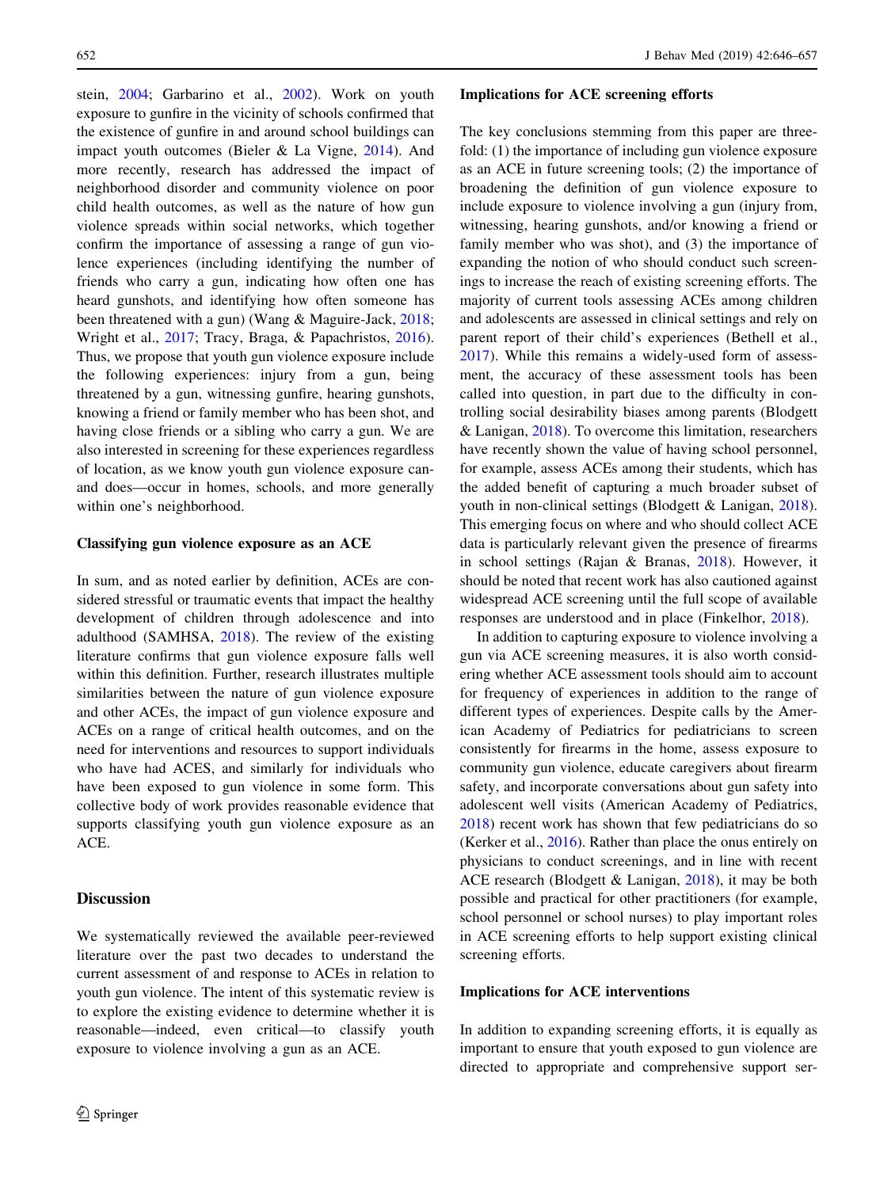stein, [2004;](#page-10-0) Garbarino et al., [2002](#page-10-0)). Work on youth exposure to gunfire in the vicinity of schools confirmed that the existence of gunfire in and around school buildings can impact youth outcomes (Bieler & La Vigne, [2014\)](#page-9-0). And more recently, research has addressed the impact of neighborhood disorder and community violence on poor child health outcomes, as well as the nature of how gun violence spreads within social networks, which together confirm the importance of assessing a range of gun violence experiences (including identifying the number of friends who carry a gun, indicating how often one has heard gunshots, and identifying how often someone has been threatened with a gun) (Wang & Maguire-Jack, [2018](#page-11-0); Wright et al., [2017;](#page-11-0) Tracy, Braga, & Papachristos, [2016](#page-11-0)). Thus, we propose that youth gun violence exposure include the following experiences: injury from a gun, being threatened by a gun, witnessing gunfire, hearing gunshots, knowing a friend or family member who has been shot, and having close friends or a sibling who carry a gun. We are also interested in screening for these experiences regardless of location, as we know youth gun violence exposure canand does—occur in homes, schools, and more generally within one's neighborhood.

#### Classifying gun violence exposure as an ACE

In sum, and as noted earlier by definition, ACEs are considered stressful or traumatic events that impact the healthy development of children through adolescence and into adulthood (SAMHSA, [2018\)](#page-11-0). The review of the existing literature confirms that gun violence exposure falls well within this definition. Further, research illustrates multiple similarities between the nature of gun violence exposure and other ACEs, the impact of gun violence exposure and ACEs on a range of critical health outcomes, and on the need for interventions and resources to support individuals who have had ACES, and similarly for individuals who have been exposed to gun violence in some form. This collective body of work provides reasonable evidence that supports classifying youth gun violence exposure as an ACE.

## **Discussion**

We systematically reviewed the available peer-reviewed literature over the past two decades to understand the current assessment of and response to ACEs in relation to youth gun violence. The intent of this systematic review is to explore the existing evidence to determine whether it is reasonable—indeed, even critical—to classify youth exposure to violence involving a gun as an ACE.

#### Implications for ACE screening efforts

The key conclusions stemming from this paper are threefold: (1) the importance of including gun violence exposure as an ACE in future screening tools; (2) the importance of broadening the definition of gun violence exposure to include exposure to violence involving a gun (injury from, witnessing, hearing gunshots, and/or knowing a friend or family member who was shot), and (3) the importance of expanding the notion of who should conduct such screenings to increase the reach of existing screening efforts. The majority of current tools assessing ACEs among children and adolescents are assessed in clinical settings and rely on parent report of their child's experiences (Bethell et al., [2017](#page-8-0)). While this remains a widely-used form of assessment, the accuracy of these assessment tools has been called into question, in part due to the difficulty in controlling social desirability biases among parents (Blodgett & Lanigan, [2018](#page-9-0)). To overcome this limitation, researchers have recently shown the value of having school personnel, for example, assess ACEs among their students, which has the added benefit of capturing a much broader subset of youth in non-clinical settings (Blodgett & Lanigan, [2018](#page-9-0)). This emerging focus on where and who should collect ACE data is particularly relevant given the presence of firearms in school settings (Rajan & Branas, [2018](#page-11-0)). However, it should be noted that recent work has also cautioned against widespread ACE screening until the full scope of available responses are understood and in place (Finkelhor, [2018\)](#page-9-0).

In addition to capturing exposure to violence involving a gun via ACE screening measures, it is also worth considering whether ACE assessment tools should aim to account for frequency of experiences in addition to the range of different types of experiences. Despite calls by the American Academy of Pediatrics for pediatricians to screen consistently for firearms in the home, assess exposure to community gun violence, educate caregivers about firearm safety, and incorporate conversations about gun safety into adolescent well visits (American Academy of Pediatrics, [2018](#page-8-0)) recent work has shown that few pediatricians do so (Kerker et al., [2016](#page-10-0)). Rather than place the onus entirely on physicians to conduct screenings, and in line with recent ACE research (Blodgett & Lanigan, [2018\)](#page-9-0), it may be both possible and practical for other practitioners (for example, school personnel or school nurses) to play important roles in ACE screening efforts to help support existing clinical screening efforts.

# Implications for ACE interventions

In addition to expanding screening efforts, it is equally as important to ensure that youth exposed to gun violence are directed to appropriate and comprehensive support ser-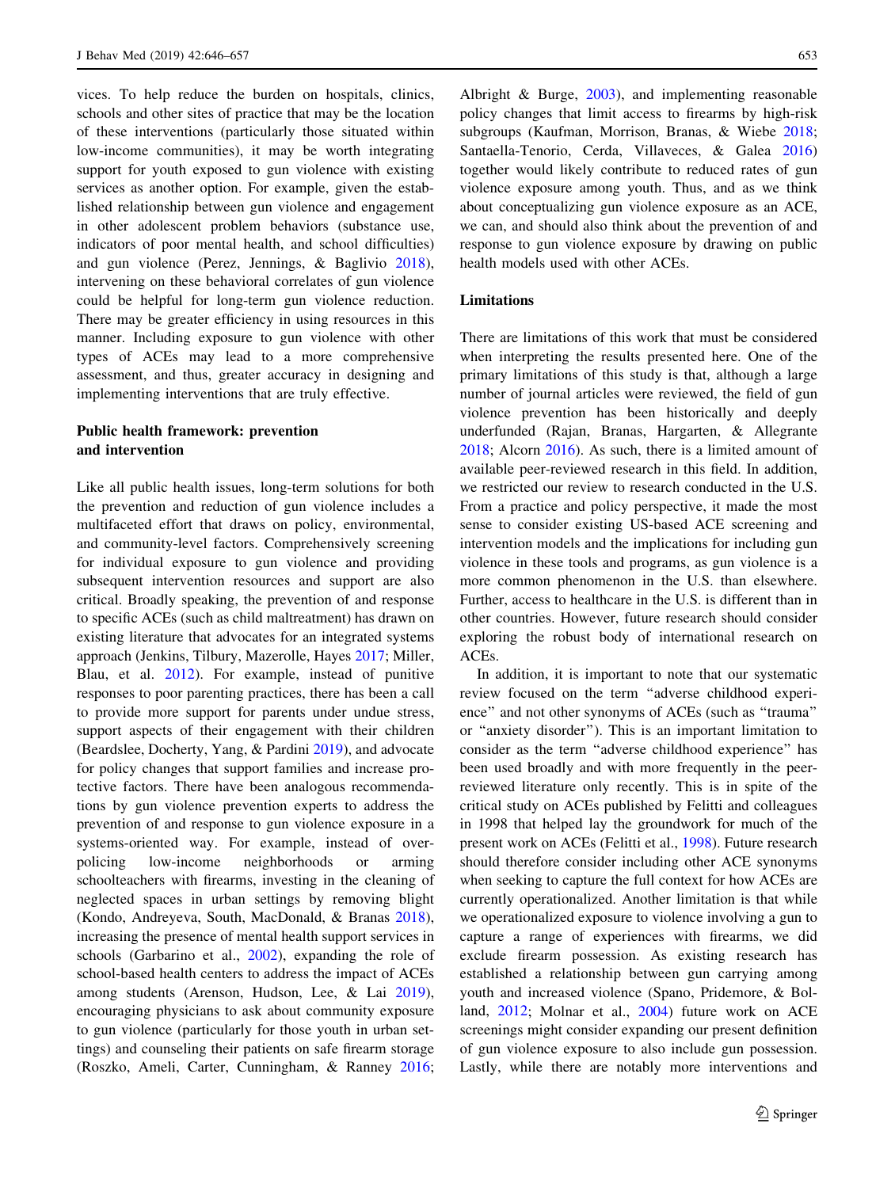vices. To help reduce the burden on hospitals, clinics, schools and other sites of practice that may be the location of these interventions (particularly those situated within low-income communities), it may be worth integrating support for youth exposed to gun violence with existing services as another option. For example, given the established relationship between gun violence and engagement in other adolescent problem behaviors (substance use, indicators of poor mental health, and school difficulties) and gun violence (Perez, Jennings, & Baglivio [2018](#page-10-0)), intervening on these behavioral correlates of gun violence could be helpful for long-term gun violence reduction. There may be greater efficiency in using resources in this manner. Including exposure to gun violence with other types of ACEs may lead to a more comprehensive assessment, and thus, greater accuracy in designing and implementing interventions that are truly effective.

# Public health framework: prevention and intervention

Like all public health issues, long-term solutions for both the prevention and reduction of gun violence includes a multifaceted effort that draws on policy, environmental, and community-level factors. Comprehensively screening for individual exposure to gun violence and providing subsequent intervention resources and support are also critical. Broadly speaking, the prevention of and response to specific ACEs (such as child maltreatment) has drawn on existing literature that advocates for an integrated systems approach (Jenkins, Tilbury, Mazerolle, Hayes [2017](#page-10-0); Miller, Blau, et al. [2012\)](#page-10-0). For example, instead of punitive responses to poor parenting practices, there has been a call to provide more support for parents under undue stress, support aspects of their engagement with their children (Beardslee, Docherty, Yang, & Pardini [2019\)](#page-8-0), and advocate for policy changes that support families and increase protective factors. There have been analogous recommendations by gun violence prevention experts to address the prevention of and response to gun violence exposure in a systems-oriented way. For example, instead of overpolicing low-income neighborhoods or arming schoolteachers with firearms, investing in the cleaning of neglected spaces in urban settings by removing blight (Kondo, Andreyeva, South, MacDonald, & Branas [2018](#page-10-0)), increasing the presence of mental health support services in schools (Garbarino et al., [2002\)](#page-10-0), expanding the role of school-based health centers to address the impact of ACEs among students (Arenson, Hudson, Lee, & Lai [2019](#page-8-0)), encouraging physicians to ask about community exposure to gun violence (particularly for those youth in urban settings) and counseling their patients on safe firearm storage (Roszko, Ameli, Carter, Cunningham, & Ranney [2016](#page-11-0);

Albright & Burge, [2003](#page-8-0)), and implementing reasonable policy changes that limit access to firearms by high-risk subgroups (Kaufman, Morrison, Branas, & Wiebe [2018](#page-10-0); Santaella-Tenorio, Cerda, Villaveces, & Galea [2016\)](#page-11-0) together would likely contribute to reduced rates of gun violence exposure among youth. Thus, and as we think about conceptualizing gun violence exposure as an ACE, we can, and should also think about the prevention of and response to gun violence exposure by drawing on public health models used with other ACEs.

# Limitations

There are limitations of this work that must be considered when interpreting the results presented here. One of the primary limitations of this study is that, although a large number of journal articles were reviewed, the field of gun violence prevention has been historically and deeply underfunded (Rajan, Branas, Hargarten, & Allegrante [2018](#page-11-0); Alcorn [2016](#page-8-0)). As such, there is a limited amount of available peer-reviewed research in this field. In addition, we restricted our review to research conducted in the U.S. From a practice and policy perspective, it made the most sense to consider existing US-based ACE screening and intervention models and the implications for including gun violence in these tools and programs, as gun violence is a more common phenomenon in the U.S. than elsewhere. Further, access to healthcare in the U.S. is different than in other countries. However, future research should consider exploring the robust body of international research on ACEs.

In addition, it is important to note that our systematic review focused on the term ''adverse childhood experience'' and not other synonyms of ACEs (such as ''trauma'' or ''anxiety disorder''). This is an important limitation to consider as the term ''adverse childhood experience'' has been used broadly and with more frequently in the peerreviewed literature only recently. This is in spite of the critical study on ACEs published by Felitti and colleagues in 1998 that helped lay the groundwork for much of the present work on ACEs (Felitti et al., [1998\)](#page-9-0). Future research should therefore consider including other ACE synonyms when seeking to capture the full context for how ACEs are currently operationalized. Another limitation is that while we operationalized exposure to violence involving a gun to capture a range of experiences with firearms, we did exclude firearm possession. As existing research has established a relationship between gun carrying among youth and increased violence (Spano, Pridemore, & Bolland, [2012](#page-11-0); Molnar et al., [2004\)](#page-10-0) future work on ACE screenings might consider expanding our present definition of gun violence exposure to also include gun possession. Lastly, while there are notably more interventions and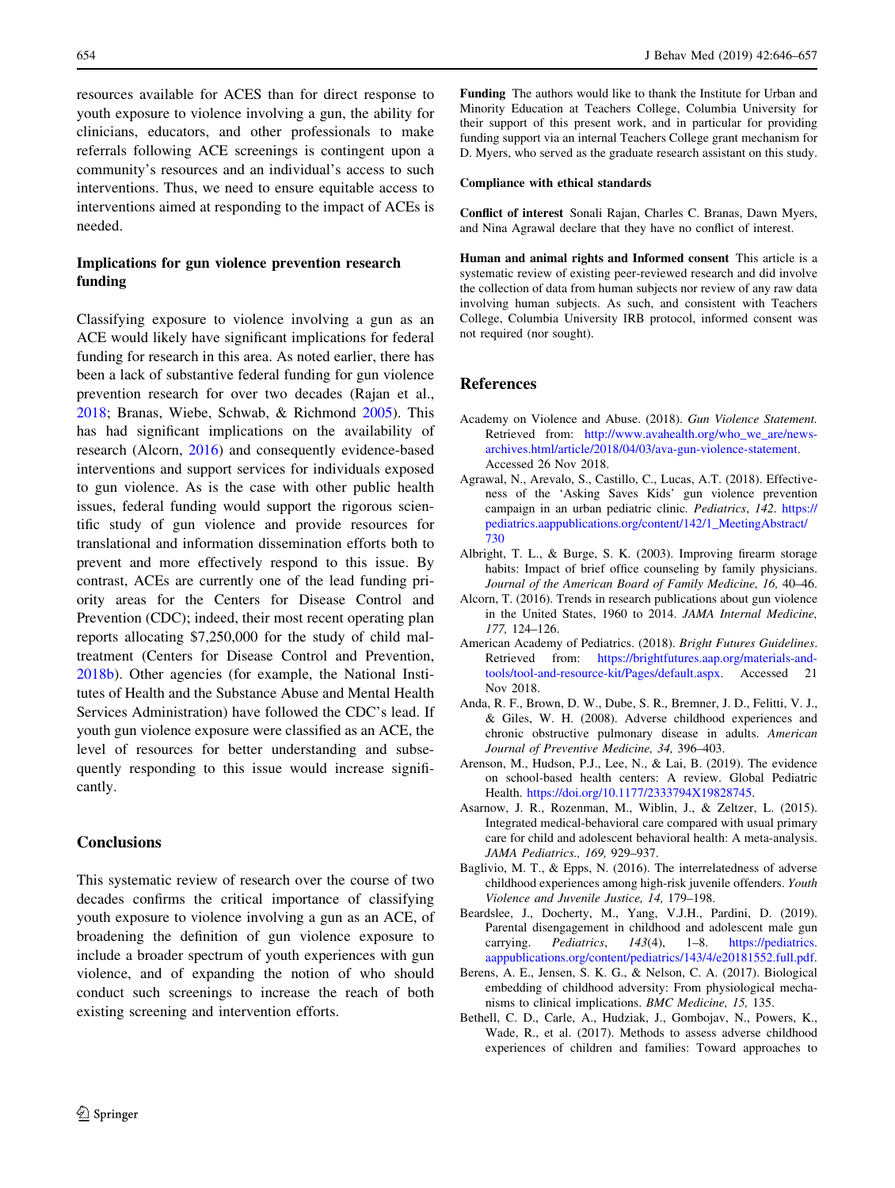<span id="page-8-0"></span>resources available for ACES than for direct response to youth exposure to violence involving a gun, the ability for clinicians, educators, and other professionals to make referrals following ACE screenings is contingent upon a community's resources and an individual's access to such interventions. Thus, we need to ensure equitable access to interventions aimed at responding to the impact of ACEs is needed.

# Implications for gun violence prevention research funding

Classifying exposure to violence involving a gun as an ACE would likely have significant implications for federal funding for research in this area. As noted earlier, there has been a lack of substantive federal funding for gun violence prevention research for over two decades (Rajan et al., [2018;](#page-11-0) Branas, Wiebe, Schwab, & Richmond [2005](#page-9-0)). This has had significant implications on the availability of research (Alcorn, 2016) and consequently evidence-based interventions and support services for individuals exposed to gun violence. As is the case with other public health issues, federal funding would support the rigorous scientific study of gun violence and provide resources for translational and information dissemination efforts both to prevent and more effectively respond to this issue. By contrast, ACEs are currently one of the lead funding priority areas for the Centers for Disease Control and Prevention (CDC); indeed, their most recent operating plan reports allocating \$7,250,000 for the study of child maltreatment (Centers for Disease Control and Prevention, [2018b\)](#page-9-0). Other agencies (for example, the National Institutes of Health and the Substance Abuse and Mental Health Services Administration) have followed the CDC's lead. If youth gun violence exposure were classified as an ACE, the level of resources for better understanding and subsequently responding to this issue would increase significantly.

# **Conclusions**

This systematic review of research over the course of two decades confirms the critical importance of classifying youth exposure to violence involving a gun as an ACE, of broadening the definition of gun violence exposure to include a broader spectrum of youth experiences with gun violence, and of expanding the notion of who should conduct such screenings to increase the reach of both existing screening and intervention efforts.

Funding The authors would like to thank the Institute for Urban and Minority Education at Teachers College, Columbia University for their support of this present work, and in particular for providing funding support via an internal Teachers College grant mechanism for D. Myers, who served as the graduate research assistant on this study.

## Compliance with ethical standards

Conflict of interest Sonali Rajan, Charles C. Branas, Dawn Myers, and Nina Agrawal declare that they have no conflict of interest.

Human and animal rights and Informed consent This article is a systematic review of existing peer-reviewed research and did involve the collection of data from human subjects nor review of any raw data involving human subjects. As such, and consistent with Teachers College, Columbia University IRB protocol, informed consent was not required (nor sought).

## References

- Academy on Violence and Abuse. (2018). Gun Violence Statement. Retrieved from: [http://www.avahealth.org/who\\_we\\_are/news](http://www.avahealth.org/who_we_are/news-archives.html/article/2018/04/03/ava-gun-violence-statement)[archives.html/article/2018/04/03/ava-gun-violence-statement.](http://www.avahealth.org/who_we_are/news-archives.html/article/2018/04/03/ava-gun-violence-statement) Accessed 26 Nov 2018.
- Agrawal, N., Arevalo, S., Castillo, C., Lucas, A.T. (2018). Effectiveness of the 'Asking Saves Kids' gun violence prevention campaign in an urban pediatric clinic. Pediatrics, 142. [https://](https://pediatrics.aappublications.org/content/142/1_MeetingAbstract/730) [pediatrics.aappublications.org/content/142/1\\_MeetingAbstract/](https://pediatrics.aappublications.org/content/142/1_MeetingAbstract/730) [730](https://pediatrics.aappublications.org/content/142/1_MeetingAbstract/730)
- Albright, T. L., & Burge, S. K. (2003). Improving firearm storage habits: Impact of brief office counseling by family physicians. Journal of the American Board of Family Medicine, 16, 40–46.
- Alcorn, T. (2016). Trends in research publications about gun violence in the United States, 1960 to 2014. JAMA Internal Medicine, 177, 124–126.
- American Academy of Pediatrics. (2018). Bright Futures Guidelines. Retrieved from: [https://brightfutures.aap.org/materials-and](https://brightfutures.aap.org/materials-and-tools/tool-and-resource-kit/Pages/default.aspx)[tools/tool-and-resource-kit/Pages/default.aspx.](https://brightfutures.aap.org/materials-and-tools/tool-and-resource-kit/Pages/default.aspx) Accessed 21 Nov 2018.
- Anda, R. F., Brown, D. W., Dube, S. R., Bremner, J. D., Felitti, V. J., & Giles, W. H. (2008). Adverse childhood experiences and chronic obstructive pulmonary disease in adults. American Journal of Preventive Medicine, 34, 396–403.
- Arenson, M., Hudson, P.J., Lee, N., & Lai, B. (2019). The evidence on school-based health centers: A review. Global Pediatric Health. [https://doi.org/10.1177/2333794X19828745.](https://doi.org/10.1177/2333794X19828745)
- Asarnow, J. R., Rozenman, M., Wiblin, J., & Zeltzer, L. (2015). Integrated medical-behavioral care compared with usual primary care for child and adolescent behavioral health: A meta-analysis. JAMA Pediatrics., 169, 929–937.
- Baglivio, M. T., & Epps, N. (2016). The interrelatedness of adverse childhood experiences among high-risk juvenile offenders. Youth Violence and Juvenile Justice, 14, 179–198.
- Beardslee, J., Docherty, M., Yang, V.J.H., Pardini, D. (2019). Parental disengagement in childhood and adolescent male gun carrying. *Pediatrics*, 143(4), 1-8. [https://pediatrics.](https://pediatrics.aappublications.org/content/pediatrics/143/4/e20181552.full.pdf) [aappublications.org/content/pediatrics/143/4/e20181552.full.pdf.](https://pediatrics.aappublications.org/content/pediatrics/143/4/e20181552.full.pdf)
- Berens, A. E., Jensen, S. K. G., & Nelson, C. A. (2017). Biological embedding of childhood adversity: From physiological mechanisms to clinical implications. BMC Medicine, 15, 135.
- Bethell, C. D., Carle, A., Hudziak, J., Gombojav, N., Powers, K., Wade, R., et al. (2017). Methods to assess adverse childhood experiences of children and families: Toward approaches to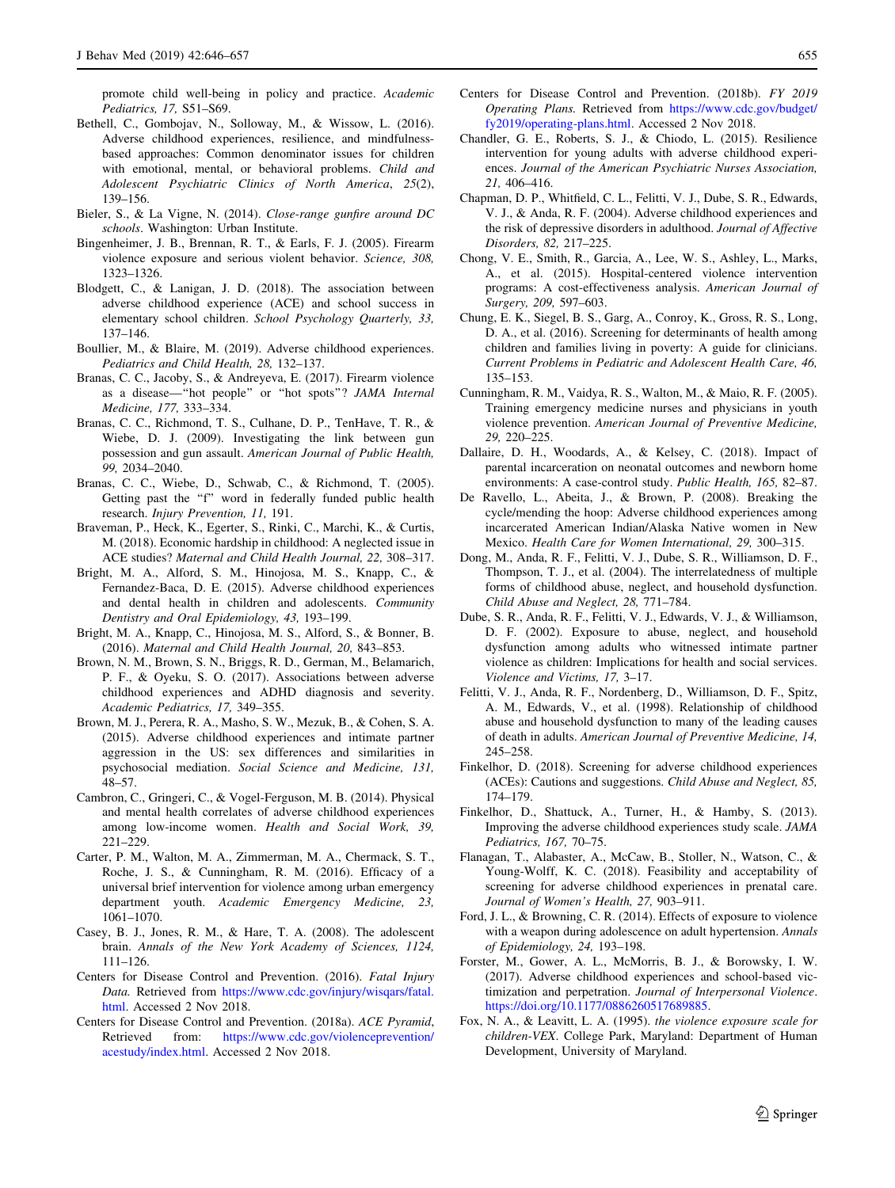<span id="page-9-0"></span>promote child well-being in policy and practice. Academic Pediatrics, 17, S51–S69.

- Bethell, C., Gombojav, N., Solloway, M., & Wissow, L. (2016). Adverse childhood experiences, resilience, and mindfulnessbased approaches: Common denominator issues for children with emotional, mental, or behavioral problems. Child and Adolescent Psychiatric Clinics of North America, 25(2), 139–156.
- Bieler, S., & La Vigne, N. (2014). Close-range gunfire around DC schools. Washington: Urban Institute.
- Bingenheimer, J. B., Brennan, R. T., & Earls, F. J. (2005). Firearm violence exposure and serious violent behavior. Science, 308, 1323–1326.
- Blodgett, C., & Lanigan, J. D. (2018). The association between adverse childhood experience (ACE) and school success in elementary school children. School Psychology Quarterly, 33, 137–146.
- Boullier, M., & Blaire, M. (2019). Adverse childhood experiences. Pediatrics and Child Health, 28, 132–137.
- Branas, C. C., Jacoby, S., & Andreyeva, E. (2017). Firearm violence as a disease—''hot people'' or ''hot spots''? JAMA Internal Medicine, 177, 333–334.
- Branas, C. C., Richmond, T. S., Culhane, D. P., TenHave, T. R., & Wiebe, D. J. (2009). Investigating the link between gun possession and gun assault. American Journal of Public Health, 99, 2034–2040.
- Branas, C. C., Wiebe, D., Schwab, C., & Richmond, T. (2005). Getting past the "f" word in federally funded public health research. Injury Prevention, 11, 191.
- Braveman, P., Heck, K., Egerter, S., Rinki, C., Marchi, K., & Curtis, M. (2018). Economic hardship in childhood: A neglected issue in ACE studies? Maternal and Child Health Journal, 22, 308–317.
- Bright, M. A., Alford, S. M., Hinojosa, M. S., Knapp, C., & Fernandez-Baca, D. E. (2015). Adverse childhood experiences and dental health in children and adolescents. Community Dentistry and Oral Epidemiology, 43, 193–199.
- Bright, M. A., Knapp, C., Hinojosa, M. S., Alford, S., & Bonner, B. (2016). Maternal and Child Health Journal, 20, 843–853.
- Brown, N. M., Brown, S. N., Briggs, R. D., German, M., Belamarich, P. F., & Oyeku, S. O. (2017). Associations between adverse childhood experiences and ADHD diagnosis and severity. Academic Pediatrics, 17, 349–355.
- Brown, M. J., Perera, R. A., Masho, S. W., Mezuk, B., & Cohen, S. A. (2015). Adverse childhood experiences and intimate partner aggression in the US: sex differences and similarities in psychosocial mediation. Social Science and Medicine, 131, 48–57.
- Cambron, C., Gringeri, C., & Vogel-Ferguson, M. B. (2014). Physical and mental health correlates of adverse childhood experiences among low-income women. Health and Social Work, 39, 221–229.
- Carter, P. M., Walton, M. A., Zimmerman, M. A., Chermack, S. T., Roche, J. S., & Cunningham, R. M. (2016). Efficacy of a universal brief intervention for violence among urban emergency department youth. Academic Emergency Medicine, 23, 1061–1070.
- Casey, B. J., Jones, R. M., & Hare, T. A. (2008). The adolescent brain. Annals of the New York Academy of Sciences, 1124, 111–126.
- Centers for Disease Control and Prevention. (2016). Fatal Injury Data. Retrieved from [https://www.cdc.gov/injury/wisqars/fatal.](https://www.cdc.gov/injury/wisqars/fatal.html) [html.](https://www.cdc.gov/injury/wisqars/fatal.html) Accessed 2 Nov 2018.
- Centers for Disease Control and Prevention. (2018a). ACE Pyramid, Retrieved from: [https://www.cdc.gov/violenceprevention/](https://www.cdc.gov/violenceprevention/acestudy/index.html) [acestudy/index.html.](https://www.cdc.gov/violenceprevention/acestudy/index.html) Accessed 2 Nov 2018.
- Centers for Disease Control and Prevention. (2018b). FY 2019 Operating Plans. Retrieved from [https://www.cdc.gov/budget/](https://www.cdc.gov/budget/fy2019/operating-plans.html) [fy2019/operating-plans.html](https://www.cdc.gov/budget/fy2019/operating-plans.html). Accessed 2 Nov 2018.
- Chandler, G. E., Roberts, S. J., & Chiodo, L. (2015). Resilience intervention for young adults with adverse childhood experiences. Journal of the American Psychiatric Nurses Association, 21, 406–416.
- Chapman, D. P., Whitfield, C. L., Felitti, V. J., Dube, S. R., Edwards, V. J., & Anda, R. F. (2004). Adverse childhood experiences and the risk of depressive disorders in adulthood. Journal of Affective Disorders, 82, 217–225.
- Chong, V. E., Smith, R., Garcia, A., Lee, W. S., Ashley, L., Marks, A., et al. (2015). Hospital-centered violence intervention programs: A cost-effectiveness analysis. American Journal of Surgery, 209, 597–603.
- Chung, E. K., Siegel, B. S., Garg, A., Conroy, K., Gross, R. S., Long, D. A., et al. (2016). Screening for determinants of health among children and families living in poverty: A guide for clinicians. Current Problems in Pediatric and Adolescent Health Care, 46, 135–153.
- Cunningham, R. M., Vaidya, R. S., Walton, M., & Maio, R. F. (2005). Training emergency medicine nurses and physicians in youth violence prevention. American Journal of Preventive Medicine, 29, 220–225.
- Dallaire, D. H., Woodards, A., & Kelsey, C. (2018). Impact of parental incarceration on neonatal outcomes and newborn home environments: A case-control study. Public Health, 165, 82–87.
- De Ravello, L., Abeita, J., & Brown, P. (2008). Breaking the cycle/mending the hoop: Adverse childhood experiences among incarcerated American Indian/Alaska Native women in New Mexico. Health Care for Women International, 29, 300–315.
- Dong, M., Anda, R. F., Felitti, V. J., Dube, S. R., Williamson, D. F., Thompson, T. J., et al. (2004). The interrelatedness of multiple forms of childhood abuse, neglect, and household dysfunction. Child Abuse and Neglect, 28, 771–784.
- Dube, S. R., Anda, R. F., Felitti, V. J., Edwards, V. J., & Williamson, D. F. (2002). Exposure to abuse, neglect, and household dysfunction among adults who witnessed intimate partner violence as children: Implications for health and social services. Violence and Victims, 17, 3–17.
- Felitti, V. J., Anda, R. F., Nordenberg, D., Williamson, D. F., Spitz, A. M., Edwards, V., et al. (1998). Relationship of childhood abuse and household dysfunction to many of the leading causes of death in adults. American Journal of Preventive Medicine, 14, 245–258.
- Finkelhor, D. (2018). Screening for adverse childhood experiences (ACEs): Cautions and suggestions. Child Abuse and Neglect, 85, 174–179.
- Finkelhor, D., Shattuck, A., Turner, H., & Hamby, S. (2013). Improving the adverse childhood experiences study scale. JAMA Pediatrics, 167, 70–75.
- Flanagan, T., Alabaster, A., McCaw, B., Stoller, N., Watson, C., & Young-Wolff, K. C. (2018). Feasibility and acceptability of screening for adverse childhood experiences in prenatal care. Journal of Women's Health, 27, 903–911.
- Ford, J. L., & Browning, C. R. (2014). Effects of exposure to violence with a weapon during adolescence on adult hypertension. Annals of Epidemiology, 24, 193–198.
- Forster, M., Gower, A. L., McMorris, B. J., & Borowsky, I. W. (2017). Adverse childhood experiences and school-based victimization and perpetration. Journal of Interpersonal Violence. <https://doi.org/10.1177/0886260517689885>.
- Fox, N. A., & Leavitt, L. A. (1995). the violence exposure scale for children-VEX. College Park, Maryland: Department of Human Development, University of Maryland.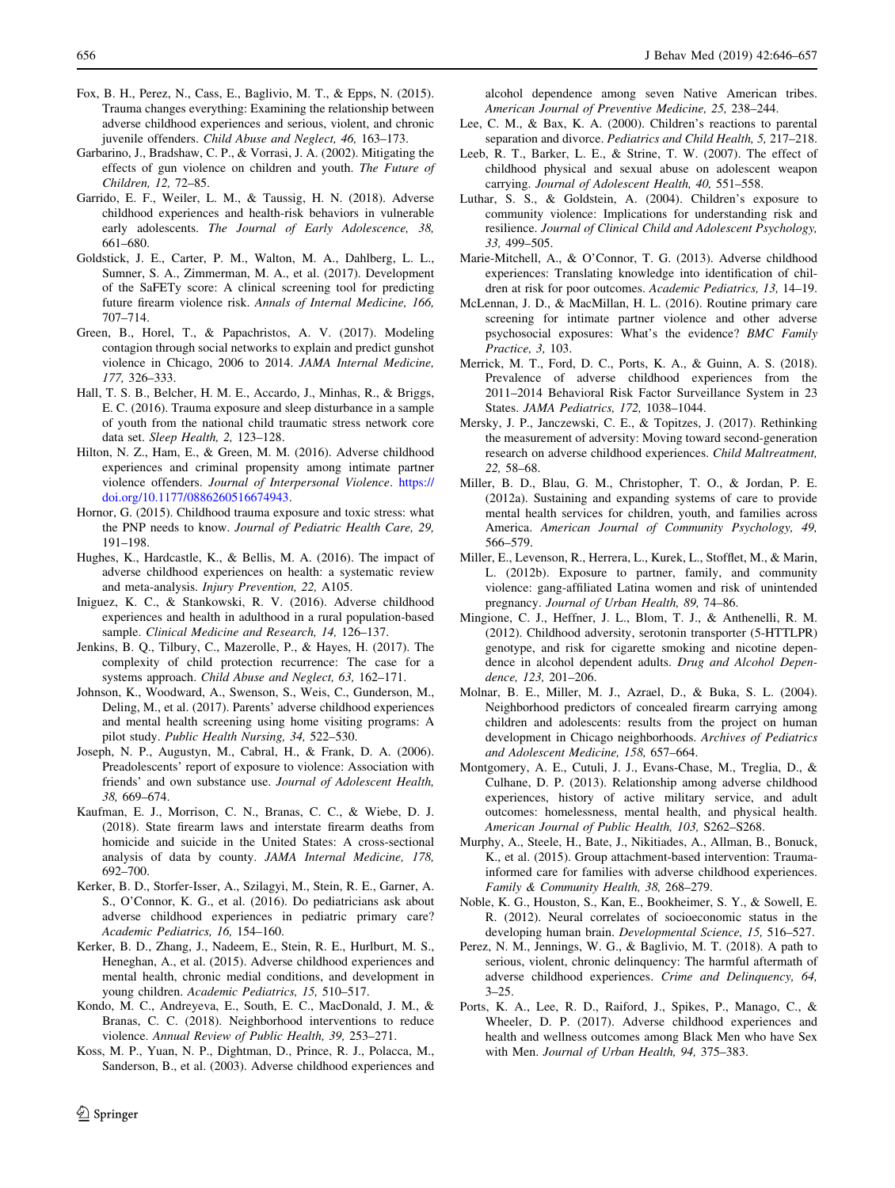- <span id="page-10-0"></span>Fox, B. H., Perez, N., Cass, E., Baglivio, M. T., & Epps, N. (2015). Trauma changes everything: Examining the relationship between adverse childhood experiences and serious, violent, and chronic juvenile offenders. Child Abuse and Neglect, 46, 163–173.
- Garbarino, J., Bradshaw, C. P., & Vorrasi, J. A. (2002). Mitigating the effects of gun violence on children and youth. The Future of Children, 12, 72–85.
- Garrido, E. F., Weiler, L. M., & Taussig, H. N. (2018). Adverse childhood experiences and health-risk behaviors in vulnerable early adolescents. The Journal of Early Adolescence, 38, 661–680.
- Goldstick, J. E., Carter, P. M., Walton, M. A., Dahlberg, L. L., Sumner, S. A., Zimmerman, M. A., et al. (2017). Development of the SaFETy score: A clinical screening tool for predicting future firearm violence risk. Annals of Internal Medicine, 166, 707–714.
- Green, B., Horel, T., & Papachristos, A. V. (2017). Modeling contagion through social networks to explain and predict gunshot violence in Chicago, 2006 to 2014. JAMA Internal Medicine, 177, 326–333.
- Hall, T. S. B., Belcher, H. M. E., Accardo, J., Minhas, R., & Briggs, E. C. (2016). Trauma exposure and sleep disturbance in a sample of youth from the national child traumatic stress network core data set. Sleep Health, 2, 123–128.
- Hilton, N. Z., Ham, E., & Green, M. M. (2016). Adverse childhood experiences and criminal propensity among intimate partner violence offenders. Journal of Interpersonal Violence. [https://](https://doi.org/10.1177/0886260516674943) [doi.org/10.1177/0886260516674943](https://doi.org/10.1177/0886260516674943).
- Hornor, G. (2015). Childhood trauma exposure and toxic stress: what the PNP needs to know. Journal of Pediatric Health Care, 29, 191–198.
- Hughes, K., Hardcastle, K., & Bellis, M. A. (2016). The impact of adverse childhood experiences on health: a systematic review and meta-analysis. Injury Prevention, 22, A105.
- Iniguez, K. C., & Stankowski, R. V. (2016). Adverse childhood experiences and health in adulthood in a rural population-based sample. Clinical Medicine and Research, 14, 126–137.
- Jenkins, B. Q., Tilbury, C., Mazerolle, P., & Hayes, H. (2017). The complexity of child protection recurrence: The case for a systems approach. Child Abuse and Neglect, 63, 162–171.
- Johnson, K., Woodward, A., Swenson, S., Weis, C., Gunderson, M., Deling, M., et al. (2017). Parents' adverse childhood experiences and mental health screening using home visiting programs: A pilot study. Public Health Nursing, 34, 522–530.
- Joseph, N. P., Augustyn, M., Cabral, H., & Frank, D. A. (2006). Preadolescents' report of exposure to violence: Association with friends' and own substance use. Journal of Adolescent Health, 38, 669–674.
- Kaufman, E. J., Morrison, C. N., Branas, C. C., & Wiebe, D. J. (2018). State firearm laws and interstate firearm deaths from homicide and suicide in the United States: A cross-sectional analysis of data by county. JAMA Internal Medicine, 178, 692–700.
- Kerker, B. D., Storfer-Isser, A., Szilagyi, M., Stein, R. E., Garner, A. S., O'Connor, K. G., et al. (2016). Do pediatricians ask about adverse childhood experiences in pediatric primary care? Academic Pediatrics, 16, 154–160.
- Kerker, B. D., Zhang, J., Nadeem, E., Stein, R. E., Hurlburt, M. S., Heneghan, A., et al. (2015). Adverse childhood experiences and mental health, chronic medial conditions, and development in young children. Academic Pediatrics, 15, 510–517.
- Kondo, M. C., Andreyeva, E., South, E. C., MacDonald, J. M., & Branas, C. C. (2018). Neighborhood interventions to reduce violence. Annual Review of Public Health, 39, 253–271.
- Koss, M. P., Yuan, N. P., Dightman, D., Prince, R. J., Polacca, M., Sanderson, B., et al. (2003). Adverse childhood experiences and

 $\textcircled{2}$  Springer

alcohol dependence among seven Native American tribes. American Journal of Preventive Medicine, 25, 238–244.

- Lee, C. M., & Bax, K. A. (2000). Children's reactions to parental separation and divorce. Pediatrics and Child Health, 5, 217–218.
- Leeb, R. T., Barker, L. E., & Strine, T. W. (2007). The effect of childhood physical and sexual abuse on adolescent weapon carrying. Journal of Adolescent Health, 40, 551–558.
- Luthar, S. S., & Goldstein, A. (2004). Children's exposure to community violence: Implications for understanding risk and resilience. Journal of Clinical Child and Adolescent Psychology, 33, 499–505.
- Marie-Mitchell, A., & O'Connor, T. G. (2013). Adverse childhood experiences: Translating knowledge into identification of children at risk for poor outcomes. Academic Pediatrics, 13, 14–19.
- McLennan, J. D., & MacMillan, H. L. (2016). Routine primary care screening for intimate partner violence and other adverse psychosocial exposures: What's the evidence? BMC Family Practice, 3, 103.
- Merrick, M. T., Ford, D. C., Ports, K. A., & Guinn, A. S. (2018). Prevalence of adverse childhood experiences from the 2011–2014 Behavioral Risk Factor Surveillance System in 23 States. JAMA Pediatrics, 172, 1038–1044.
- Mersky, J. P., Janczewski, C. E., & Topitzes, J. (2017). Rethinking the measurement of adversity: Moving toward second-generation research on adverse childhood experiences. Child Maltreatment, 22, 58–68.
- Miller, B. D., Blau, G. M., Christopher, T. O., & Jordan, P. E. (2012a). Sustaining and expanding systems of care to provide mental health services for children, youth, and families across America. American Journal of Community Psychology, 49, 566–579.
- Miller, E., Levenson, R., Herrera, L., Kurek, L., Stofflet, M., & Marin, L. (2012b). Exposure to partner, family, and community violence: gang-affiliated Latina women and risk of unintended pregnancy. Journal of Urban Health, 89, 74–86.
- Mingione, C. J., Heffner, J. L., Blom, T. J., & Anthenelli, R. M. (2012). Childhood adversity, serotonin transporter (5-HTTLPR) genotype, and risk for cigarette smoking and nicotine dependence in alcohol dependent adults. Drug and Alcohol Dependence, 123, 201–206.
- Molnar, B. E., Miller, M. J., Azrael, D., & Buka, S. L. (2004). Neighborhood predictors of concealed firearm carrying among children and adolescents: results from the project on human development in Chicago neighborhoods. Archives of Pediatrics and Adolescent Medicine, 158, 657–664.
- Montgomery, A. E., Cutuli, J. J., Evans-Chase, M., Treglia, D., & Culhane, D. P. (2013). Relationship among adverse childhood experiences, history of active military service, and adult outcomes: homelessness, mental health, and physical health. American Journal of Public Health, 103, S262–S268.
- Murphy, A., Steele, H., Bate, J., Nikitiades, A., Allman, B., Bonuck, K., et al. (2015). Group attachment-based intervention: Traumainformed care for families with adverse childhood experiences. Family & Community Health, 38, 268–279.
- Noble, K. G., Houston, S., Kan, E., Bookheimer, S. Y., & Sowell, E. R. (2012). Neural correlates of socioeconomic status in the developing human brain. Developmental Science, 15, 516–527.
- Perez, N. M., Jennings, W. G., & Baglivio, M. T. (2018). A path to serious, violent, chronic delinquency: The harmful aftermath of adverse childhood experiences. Crime and Delinquency, 64,  $3 - 25$ .
- Ports, K. A., Lee, R. D., Raiford, J., Spikes, P., Manago, C., & Wheeler, D. P. (2017). Adverse childhood experiences and health and wellness outcomes among Black Men who have Sex with Men. Journal of Urban Health, 94, 375–383.